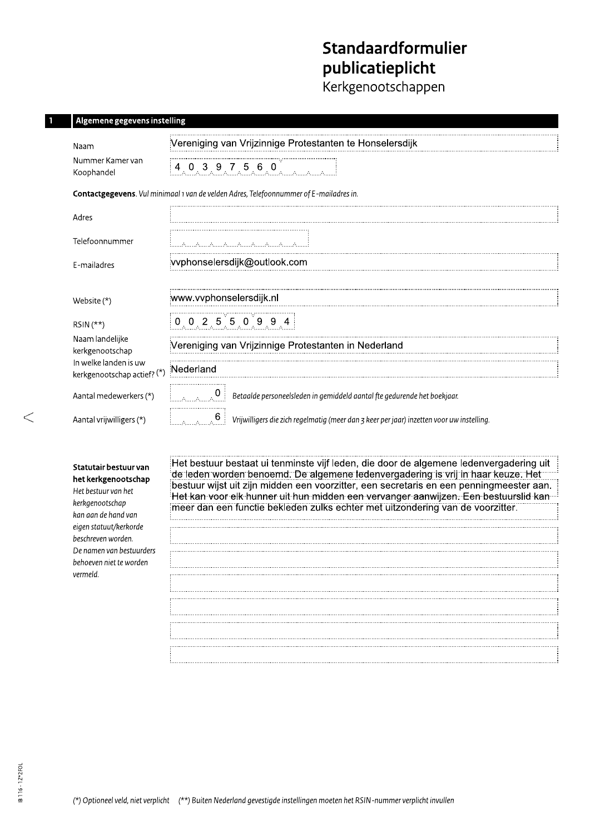# Standaardformulier publicatieplicht

.<br>Kerkgenootschappen

## Algemene gegevens instelling

| Naam                                                 | Vereniging van Vrijzinnige Protestanten te Honselersdijk                                                                   |  |  |  |  |  |
|------------------------------------------------------|----------------------------------------------------------------------------------------------------------------------------|--|--|--|--|--|
| Nummer Kamer van<br>Koophandel                       | 4.0.3.9.7.5.6.0                                                                                                            |  |  |  |  |  |
|                                                      | Contactgegevens. Vul minimaal 1 van de velden Adres, Telefoonnummer of E-mailadres in.                                     |  |  |  |  |  |
| Adres                                                |                                                                                                                            |  |  |  |  |  |
| Telefoonnummer                                       | into the material control to the con-                                                                                      |  |  |  |  |  |
| E-mailadres                                          | vvphonselersdijk@outlook.com                                                                                               |  |  |  |  |  |
|                                                      |                                                                                                                            |  |  |  |  |  |
| Website $(*)$                                        | www.vvphonselersdijk.nl                                                                                                    |  |  |  |  |  |
| $RSIN(**)$                                           | $0$ 0 2 5 5 0 9 9 4                                                                                                        |  |  |  |  |  |
| Naam landelijke<br>kerkgenootschap                   | Vereniging van Vrijzinnige Protestanten in Nederland                                                                       |  |  |  |  |  |
| In welke landen is uw<br>kerkgenootschap actief? (*) | Nederland                                                                                                                  |  |  |  |  |  |
| Aantal medewerkers (*)                               | $\begin{bmatrix} 1 & 1 \\ 1 & 1 \end{bmatrix}$<br>Betaalde personeelsleden in gemiddeld aantal fte gedurende het boekjaar. |  |  |  |  |  |
| Aantal vrijwilligers (*)                             | $\sim$ $6$<br>Vrijwilligers die zich regelmatig (meer dan 3 keer per jaar) inzetten voor uw instelling.                    |  |  |  |  |  |

| Statutair bestuur van    |  |  |  |
|--------------------------|--|--|--|
| het kerkgenootschap      |  |  |  |
| Het bestuur van het      |  |  |  |
| kerkaenootschap          |  |  |  |
| kan aan de hand van      |  |  |  |
| eigen statuut/kerkorde   |  |  |  |
| beschreven worden.       |  |  |  |
| De namen van bestuurders |  |  |  |
| hehoeven niet te worden  |  |  |  |
| vermeld                  |  |  |  |
|                          |  |  |  |

Het bestuur bestaat ui tenminste vijf leden, die door de algemene ledenvergadering uit de leden worden benoemd. De algemene ledenvergadering is vrij in haar keuze. Het bestuur wijst uit zijn midden een voorzitter, een secretaris en een penningmeester aan. Het kan voor elk hunner uit hun midden een vervanger aanwijzen. Een bestuurslid kan " meer dan een functie bekleden zulks echter met uitzondering van de voorzitter.

سيست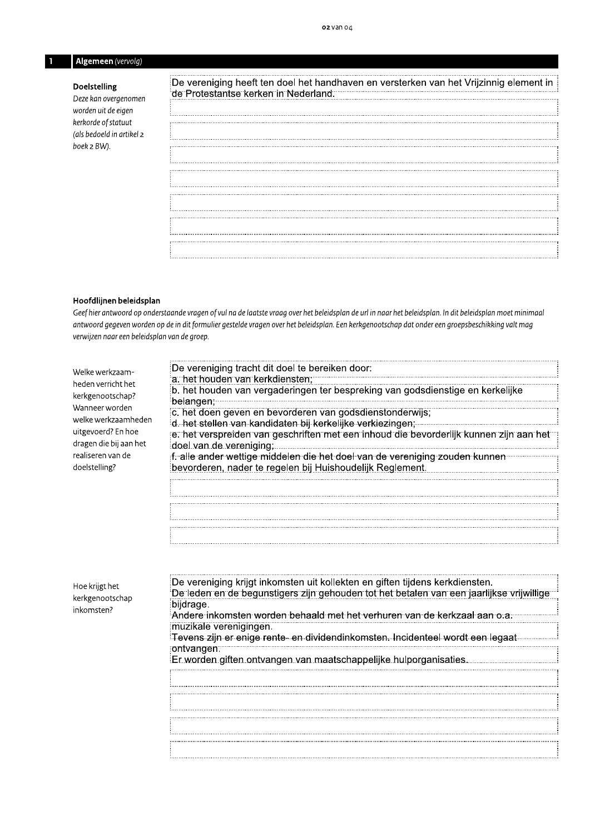# Algemeen (vervolg)

#### Doelstelling

Deze kan overgenomen worden uit de eigen kerkorde of statuut (als bedoeld in artikel 2 boek 2 BW).

| De vereniging heeft ten doel het handhaven en versterken van het Vrijzinnig element in<br>de Protestantse kerken in Nederland. |  |
|--------------------------------------------------------------------------------------------------------------------------------|--|
|                                                                                                                                |  |
|                                                                                                                                |  |
|                                                                                                                                |  |
|                                                                                                                                |  |
|                                                                                                                                |  |
|                                                                                                                                |  |
|                                                                                                                                |  |
|                                                                                                                                |  |

#### Hoofdlijnen beleidsplan

Geef hier antwoord op onderstaande vragen of vul na de laatste vraag over het beleidsplan de url in naar het beleidsplan. In dit beleidsplan moet minimaal antwoord gegeven worden op de in dit formulier gestelde vragen over het beleidsplan. Een kerkgenootschap dat onder een groepsbeschikking valt mag verwijzen naar een beleidsplan van de groep.

| Welke werkzaam-                              | De vereniging tracht dit doel te bereiken door:<br>a. het houden van kerkdiensten:                                                                                       |
|----------------------------------------------|--------------------------------------------------------------------------------------------------------------------------------------------------------------------------|
| heden verricht het<br>kerkgenootschap?       | b. het houden van vergaderingen ter bespreking van godsdienstige en kerkelijke<br><sup>∶</sup> belangen; <sup></sup>                                                     |
| Wanneer worden<br>welke werkzaamheden        | c. het doen geven en bevorderen van godsdienstonderwijs;                                                                                                                 |
| uitgevoerd? En hoe<br>dragen die bij aan het | e. het verspreiden van geschriften met een inhoud die bevorderlijk kunnen zijn aan het<br>doel van de vereniging,                                                        |
| realiseren van de<br>doelstelling?           | f. alle ander wettige middelen die het doel van de vereniging zouden kunnen<br>bevorderen, nader te regelen bij Huishoudelijk Reglement.                                 |
|                                              |                                                                                                                                                                          |
|                                              |                                                                                                                                                                          |
|                                              |                                                                                                                                                                          |
|                                              |                                                                                                                                                                          |
| Hoe krijgt het<br>kerkgenootschap            | De vereniging krijgt inkomsten uit kollekten en giften tijdens kerkdiensten.<br>De leden en de begunstigers zijn gehouden tot het betalen van een jaarlijkse vrijwillige |
| inkomsten?                                   | bijdrage.<br>Andere inkomsten worden behaald met het verhuren van de kerkzaal aan o.a.                                                                                   |
|                                              | muzikale verenigingen.                                                                                                                                                   |
|                                              | Tevens zijn er enige rente- en dividendinkomsten. Incidenteel wordt een legaat<br>∶ontvangen:                                                                            |
|                                              | Er worden giften ontvangen van maatschappelijke hulporganisaties.                                                                                                        |
|                                              |                                                                                                                                                                          |
|                                              |                                                                                                                                                                          |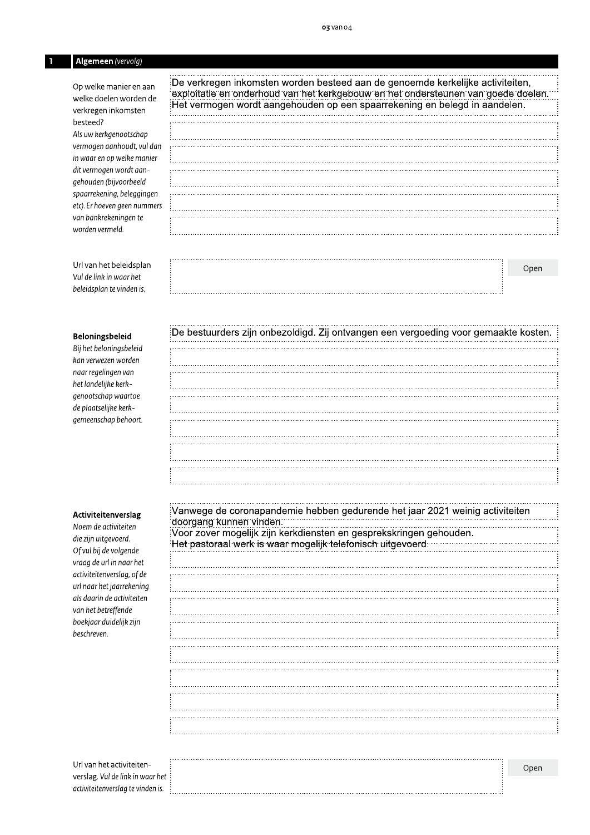# Algemeen (vervolg)

Op welke manier en aan welke doelen worden de verkregen inkomsten besteed?

Als uw kerkgenootschap vermogen aanhoudt, vul dan in waar en op welke manier dit vermogen wordt aangehouden (bijvoorbeeld spaarrekening, beleggingen etc). Er hoeven geen nummers van bankrekeningen te worden vermeld.

Url van het beleidsplan Vul de link in waar het beleidsplan te vinden is.

#### Beloningsbeleid

Bij het beloningsbeleid kan verwezen worden naar regelingen van het landelijke kerkgenootschap waartoe de plaatselijke kerkgemeenschap behoort.

#### Activiteitenverslag

Noem de activite die zijn uitgevoerd. Of vul bij de volgende vraag de url in naar het activiteitenverslag, of de url naar het jaarrekening als daarin de activiteiten van het betreffende boekjaar duidelijk zijn beschreven.

De verkregen inkomsten worden besteed aan de genoemde kerkelijke activiteiten, exploitatie en onderhoud van het kerkgebouw en het ondersteunen van goede doelen. Het vermogen wordt aangehouden op een spaarrekening en belegd in aandelen.

#### De bestuurders zijn onbezoldigd. Zij ontvangen een vergoeding voor gemaakte kosten.

| .<br>eiten | doorgang kunnen vind                               |
|------------|----------------------------------------------------|
|            | Voor zover mogelijk zij                            |
| rd.        | والمالي والمتحدد والمتحدث متلقين متسابقات المقارنا |

Url van het activiteitenverslag. Vul de link in waar het activiteitenverslag te vinden is.

| Vanwege de coronapandemie hebben gedurende het jaar 2021 weinig activiteiten                                                                                                                                                        |
|-------------------------------------------------------------------------------------------------------------------------------------------------------------------------------------------------------------------------------------|
| doorgang kunnen vinden. <b>Execute Secretary and Secretary American</b> Secretary and Secretary and Secretary and Secretary and Secretary and Secretary and Secretary and Secretary and Secretary and Secretary and Secretary and S |
| Voor zover mogelijk zijn kerkdiensten en gesprekskringen gehouden.                                                                                                                                                                  |
|                                                                                                                                                                                                                                     |
|                                                                                                                                                                                                                                     |
|                                                                                                                                                                                                                                     |